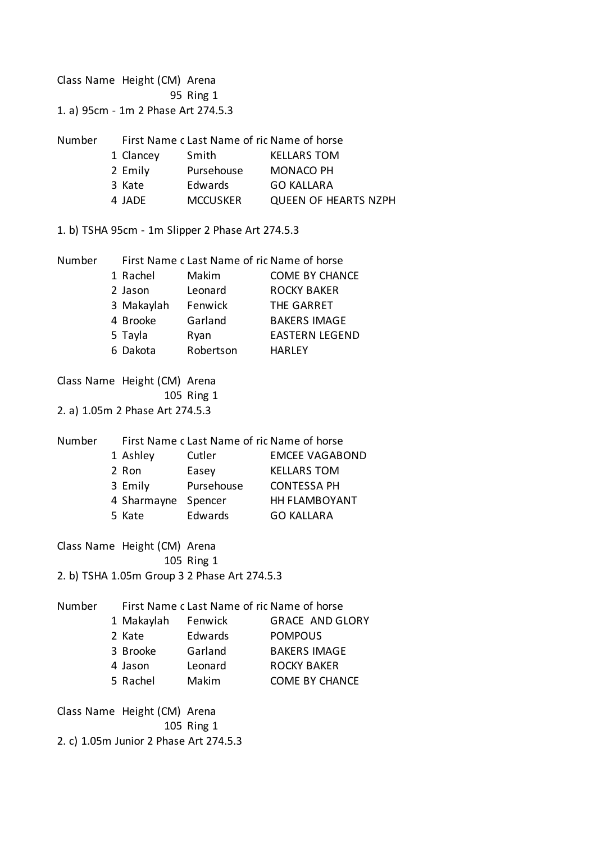Class Name Height (CM) Arena Ring 1 1. a) 95cm - 1m 2 Phase Art 274.5.3 Number First Name clast Name of rid Name of horse Clancey Smith KELLARS TOM Emily Pursehouse MONACO PH Kate Edwards GO KALLARA JADE MCCUSKER QUEEN OF HEARTS NZPH 1. b) TSHA 95cm - 1m Slipper 2 Phase Art 274.5.3 Number First Name clast Name of rid Name of horse Rachel Makim COME BY CHANCE Jason Leonard ROCKY BAKER Makaylah Fenwick THE GARRET Brooke Garland BAKERS IMAGE Tayla Ryan EASTERN LEGEND Dakota Robertson HARLEY Class Name Height (CM) Arena Ring 1 2. a) 1.05m 2 Phase Art 274.5.3 Number First Name c Last Name of rid Name of horse Ashley Cutler EMCEE VAGABOND Ron Easey KELLARS TOM Emily Pursehouse CONTESSA PH Sharmayne Spencer HH FLAMBOYANT Kate Edwards GO KALLARA Class Name Height (CM) Arena Ring 1 2. b) TSHA 1.05m Group 3 2 Phase Art 274.5.3 Number First Name c Last Name of rid Name of horse Makaylah Fenwick GRACE AND GLORY Kate Edwards POMPOUS Brooke Garland BAKERS IMAGE Jason Leonard ROCKY BAKER Rachel Makim COME BY CHANCE Class Name Height (CM) Arena Ring 1 2. c) 1.05m Junior 2 Phase Art 274.5.3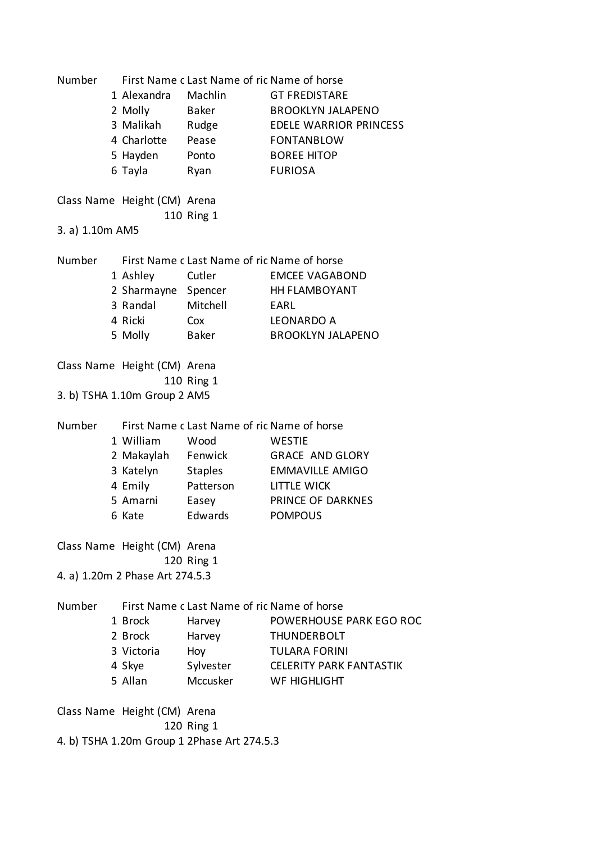Number First Name c Last Name of ric Name of horse Alexandra Machlin GT FREDISTARE Molly Baker BROOKLYN JALAPENO Malikah Rudge EDELE WARRIOR PRINCESS Charlotte Pease FONTANBLOW Hayden Ponto BOREE HITOP Tayla Ryan FURIOSA Class Name Height (CM) Arena Ring 1 3. a) 1.10m AM5 Number First Name clast Name of rid Name of horse Ashley Cutler EMCEE VAGABOND 2 Sharmayne Spencer HH FLAMBOYANT Randal Mitchell EARL Ricki Cox LEONARDO A Molly Baker BROOKLYN JALAPENO Class Name Height (CM) Arena Ring 1 3. b) TSHA 1.10m Group 2 AM5 Number First Name c Last Name of rid Name of horse William Wood WESTIE Makaylah Fenwick GRACE AND GLORY Katelyn Staples EMMAVILLE AMIGO Emily Patterson LITTLE WICK Amarni Easey PRINCE OF DARKNES Kate Edwards POMPOUS Class Name Height (CM) Arena Ring 1 4. a) 1.20m 2 Phase Art 274.5.3 Number First Name c Last Name of rid Name of horse Brock Harvey POWERHOUSE PARK EGO ROC Brock Harvey THUNDERBOLT Victoria Hoy TULARA FORINI Skye Sylvester CELERITY PARK FANTASTIK Allan Mccusker WF HIGHLIGHT Class Name Height (CM) Arena Ring 1 4. b) TSHA 1.20m Group 1 2Phase Art 274.5.3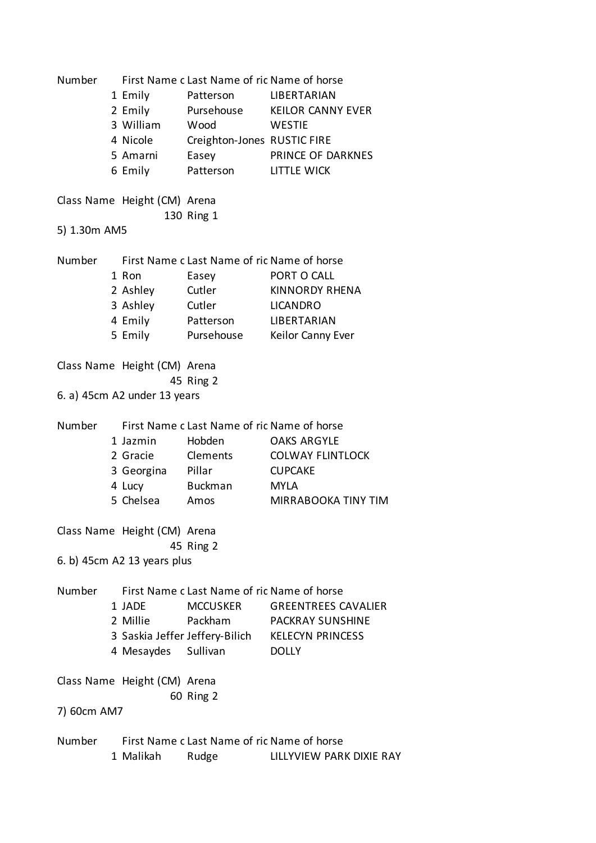| Number       |  | First Name c Last Name of ric Name of horse |                                             |                            |  |
|--------------|--|---------------------------------------------|---------------------------------------------|----------------------------|--|
|              |  | 1 Emily                                     | Patterson                                   | <b>LIBERTARIAN</b>         |  |
|              |  | 2 Emily                                     | Pursehouse                                  | <b>KEILOR CANNY EVER</b>   |  |
|              |  | 3 William                                   | Wood                                        | <b>WESTIE</b>              |  |
|              |  | 4 Nicole                                    | Creighton-Jones RUSTIC FIRE                 |                            |  |
|              |  | 5 Amarni                                    | Easey                                       | PRINCE OF DARKNES          |  |
|              |  | 6 Emily                                     | Patterson                                   | LITTLE WICK                |  |
|              |  |                                             |                                             |                            |  |
|              |  | Class Name Height (CM) Arena                | 130 Ring 1                                  |                            |  |
| 5) 1.30m AM5 |  |                                             |                                             |                            |  |
|              |  |                                             |                                             |                            |  |
| Number       |  |                                             | First Name c Last Name of rid Name of horse |                            |  |
|              |  | 1 Ron                                       | Easey                                       | PORT O CALL                |  |
|              |  | 2 Ashley                                    | Cutler                                      | <b>KINNORDY RHENA</b>      |  |
|              |  | 3 Ashley                                    | Cutler                                      | <b>LICANDRO</b>            |  |
|              |  | 4 Emily                                     | Patterson                                   | LIBERTARIAN                |  |
|              |  |                                             | 5 Emily Pursehouse                          | Keilor Canny Ever          |  |
|              |  |                                             |                                             |                            |  |
|              |  | Class Name Height (CM) Arena                |                                             |                            |  |
|              |  |                                             | 45 Ring 2                                   |                            |  |
|              |  | 6. a) 45cm A2 under 13 years                |                                             |                            |  |
|              |  |                                             |                                             |                            |  |
| Number       |  |                                             | First Name c Last Name of rid Name of horse |                            |  |
|              |  | 1 Jazmin                                    | Hobden                                      | <b>OAKS ARGYLE</b>         |  |
|              |  | 2 Gracie                                    | Clements                                    | <b>COLWAY FLINTLOCK</b>    |  |
|              |  | 3 Georgina                                  | Pillar                                      | <b>CUPCAKE</b>             |  |
|              |  | 4 Lucy Buckman                              |                                             | <b>MYLA</b>                |  |
|              |  | 5 Chelsea                                   | Amos                                        | <b>MIRRABOOKA TINY TIM</b> |  |
|              |  |                                             |                                             |                            |  |
|              |  | Class Name Height (CM) Arena                |                                             |                            |  |
|              |  | 45 Ring 2                                   |                                             |                            |  |
|              |  | 6. b) 45cm A2 13 years plus                 |                                             |                            |  |
|              |  |                                             |                                             |                            |  |
| Number       |  |                                             | First Name c Last Name of ric Name of horse |                            |  |
|              |  | 1 JADE                                      | <b>MCCUSKER</b>                             | <b>GREENTREES CAVALIER</b> |  |
|              |  | 2 Millie                                    | Packham                                     | <b>PACKRAY SUNSHINE</b>    |  |
|              |  |                                             | 3 Saskia Jeffer Jeffery-Bilich              | <b>KELECYN PRINCESS</b>    |  |
|              |  | 4 Mesaydes Sullivan                         |                                             | <b>DOLLY</b>               |  |
|              |  |                                             |                                             |                            |  |
|              |  | Class Name Height (CM) Arena                |                                             |                            |  |
|              |  |                                             | 60 Ring 2                                   |                            |  |
| 7) 60cm AM7  |  |                                             |                                             |                            |  |
|              |  |                                             |                                             |                            |  |
| Number       |  |                                             | First Name c Last Name of rid Name of horse |                            |  |
|              |  | 1 Malikah                                   | Rudge                                       | LILLYVIEW PARK DIXIE RAY   |  |
|              |  |                                             |                                             |                            |  |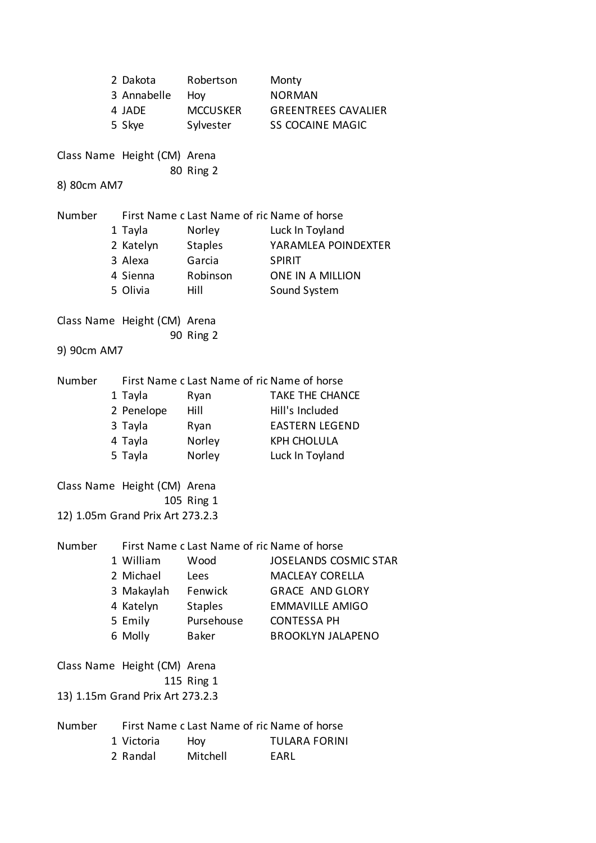|             | 2 Dakota<br>3 Annabelle<br>4 JADE<br>5 Skye | Robertson<br>Hoy<br>MCCUSKER<br>Sylvester   | Monty<br><b>NORMAN</b><br><b>GREENTREES CAVALIER</b><br><b>SS COCAINE MAGIC</b> |  |
|-------------|---------------------------------------------|---------------------------------------------|---------------------------------------------------------------------------------|--|
|             | Class Name Height (CM) Arena                | 80 Ring 2                                   |                                                                                 |  |
| 8) 80cm AM7 |                                             |                                             |                                                                                 |  |
| Number      |                                             | First Name c Last Name of rid Name of horse |                                                                                 |  |
|             | 1 Tayla                                     | Norley                                      | Luck In Toyland                                                                 |  |
|             | 2 Katelyn                                   | <b>Staples</b>                              | YARAMLEA POINDEXTER                                                             |  |
|             | 3 Alexa                                     | Garcia                                      | <b>SPIRIT</b>                                                                   |  |
|             | 4 Sienna                                    | Robinson                                    | <b>ONE IN A MILLION</b>                                                         |  |
|             | 5 Olivia                                    | Hill                                        | Sound System                                                                    |  |
|             |                                             |                                             |                                                                                 |  |
|             | Class Name Height (CM) Arena                |                                             |                                                                                 |  |
|             |                                             | 90 Ring 2                                   |                                                                                 |  |
| 9) 90cm AM7 |                                             |                                             |                                                                                 |  |
| Number      | First Name c Last Name of ric Name of horse |                                             |                                                                                 |  |
|             | 1 Tayla                                     | Ryan                                        | <b>TAKE THE CHANCE</b>                                                          |  |
|             | 2 Penelope                                  | Hill                                        | Hill's Included                                                                 |  |
|             | 3 Tayla                                     | Ryan                                        | <b>EASTERN LEGEND</b>                                                           |  |
|             | 4 Tayla                                     | Norley                                      | <b>KPH CHOLULA</b>                                                              |  |
|             | 5 Tayla                                     | Norley                                      | Luck In Toyland                                                                 |  |
|             | Class Name Height (CM) Arena                | 105 Ring 1                                  |                                                                                 |  |
|             | 12) 1.05m Grand Prix Art 273.2.3            |                                             |                                                                                 |  |
| Number      |                                             | First Name c Last Name of ric Name of horse |                                                                                 |  |
|             | 1 William                                   | Wood                                        | <b>JOSELANDS COSMIC STAR</b>                                                    |  |
|             | 2 Michael                                   | Lees                                        | <b>MACLEAY CORELLA</b>                                                          |  |
|             | 3 Makaylah Fenwick                          |                                             | <b>GRACE AND GLORY</b>                                                          |  |
|             | 4 Katelyn                                   | <b>Staples</b>                              | <b>EMMAVILLE AMIGO</b>                                                          |  |
|             | 5 Emily                                     | Pursehouse                                  | <b>CONTESSA PH</b>                                                              |  |
|             | 6 Molly                                     | Baker                                       | <b>BROOKLYN JALAPENO</b>                                                        |  |
|             | Class Name Height (CM) Arena                | 115 Ring 1                                  |                                                                                 |  |
|             | 13) 1.15m Grand Prix Art 273.2.3            |                                             |                                                                                 |  |
| Number      |                                             | First Name c Last Name of rid Name of horse |                                                                                 |  |
|             | 1 Victoria                                  | Hoy                                         | <b>TULARA FORINI</b>                                                            |  |
|             | 2 Randal                                    | Mitchell                                    | EARL                                                                            |  |
|             |                                             |                                             |                                                                                 |  |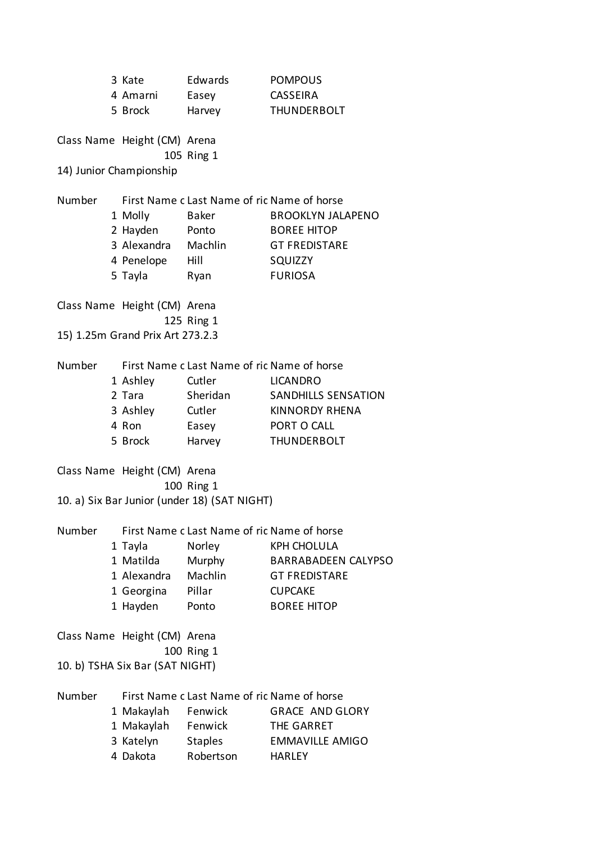|        |  | 3 Kate                                      | Edwards                                      | <b>POMPOUS</b>             |  |
|--------|--|---------------------------------------------|----------------------------------------------|----------------------------|--|
|        |  | 4 Amarni                                    | Easey                                        | <b>CASSEIRA</b>            |  |
|        |  | 5 Brock                                     | Harvey                                       | THUNDERBOLT                |  |
|        |  | Class Name Height (CM) Arena                | 105 Ring 1                                   |                            |  |
|        |  | 14) Junior Championship                     |                                              |                            |  |
| Number |  |                                             | First Name c Last Name of ric Name of horse  |                            |  |
|        |  | 1 Molly                                     | Baker                                        | <b>BROOKLYN JALAPENO</b>   |  |
|        |  | 2 Hayden                                    | Ponto                                        | <b>BOREE HITOP</b>         |  |
|        |  | 3 Alexandra Machlin                         |                                              | <b>GT FREDISTARE</b>       |  |
|        |  | 4 Penelope Hill                             |                                              | SQUIZZY                    |  |
|        |  | 5 Tayla                                     | Ryan                                         | <b>FURIOSA</b>             |  |
|        |  | Class Name Height (CM) Arena                |                                              |                            |  |
|        |  |                                             | 125 Ring 1                                   |                            |  |
|        |  | 15) 1.25m Grand Prix Art 273.2.3            |                                              |                            |  |
| Number |  | First Name c Last Name of ric Name of horse |                                              |                            |  |
|        |  | 1 Ashley                                    | Cutler                                       | <b>LICANDRO</b>            |  |
|        |  | 2 Tara                                      | Sheridan                                     | <b>SANDHILLS SENSATION</b> |  |
|        |  | 3 Ashley Cutler                             |                                              | <b>KINNORDY RHENA</b>      |  |
|        |  | 4 Ron                                       | Easey                                        | PORT O CALL                |  |
|        |  | 5 Brock                                     | Harvey                                       | <b>THUNDERBOLT</b>         |  |
|        |  | Class Name Height (CM) Arena                |                                              |                            |  |
|        |  |                                             | 100 Ring 1                                   |                            |  |
|        |  |                                             | 10. a) Six Bar Junior (under 18) (SAT NIGHT) |                            |  |
| Number |  |                                             | First Name c Last Name of ric Name of horse  |                            |  |
|        |  | 1 Tayla                                     | Norley                                       | <b>KPH CHOLULA</b>         |  |
|        |  | 1 Matilda                                   | Murphy                                       | <b>BARRABADEEN CALYPSO</b> |  |
|        |  | 1 Alexandra                                 | Machlin                                      | <b>GT FREDISTARE</b>       |  |
|        |  | 1 Georgina                                  | Pillar                                       | <b>CUPCAKE</b>             |  |
|        |  | 1 Hayden                                    | Ponto                                        | <b>BOREE HITOP</b>         |  |
|        |  | Class Name Height (CM) Arena                |                                              |                            |  |
|        |  |                                             | 100 Ring 1                                   |                            |  |
|        |  | 10. b) TSHA Six Bar (SAT NIGHT)             |                                              |                            |  |
| Number |  |                                             | First Name c Last Name of ric Name of horse  |                            |  |
|        |  | 1 Makaylah                                  | Fenwick                                      | <b>GRACE AND GLORY</b>     |  |
|        |  | 1 Makaylah Fenwick                          |                                              | THE GARRET                 |  |
|        |  | 3 Katelyn                                   | <b>Staples</b>                               | <b>EMMAVILLE AMIGO</b>     |  |
|        |  | 4 Dakota                                    | Robertson                                    | <b>HARLEY</b>              |  |